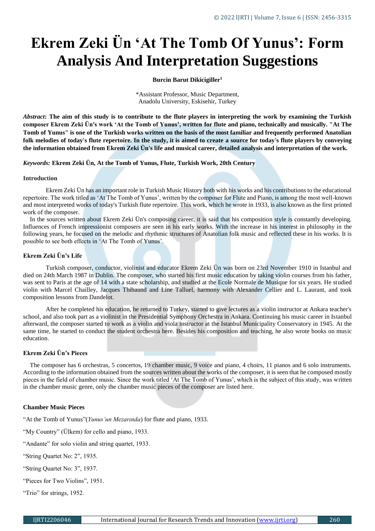# **Ekrem Zeki Ün 'At The Tomb Of Yunus': Form Analysis And Interpretation Suggestions**

## **Burcin Barut Dikicigiller<sup>1</sup>**

\*Assistant Professor, Music Department, Anadolu University, Eskisehir, Turkey

*Abstract***: The aim of this study is to contribute to the flute players in interpreting the work by examining the Turkish composer Ekrem Zeki Ün's work 'At the Tomb of Yunus', written for flute and piano, technically and musically. "At The Tomb of Yunus" is one of the Turkish works written on the basis of the most familiar and frequently performed Anatolian folk melodies of today's flute repertoire. In the study, it is aimed to create a source for today's flute players by conveying the information obtained from Ekrem Zeki Ün's life and musical career, detailed analysis and interpretation of the work.**

## *Keywords:* **Ekrem Zeki Ün, At the Tomb of Yunus, Flute, Turkish Work, 20th Century**

## **Introduction**

Ekrem Zeki Ün has an important role in Turkish Music History both with his works and his contributions to the educational repertoire. The work titled as 'At The Tomb of Yunus', written by the composer for Flute and Piano, is among the most well-known and most interpreted works of today's Turkish flute repertoire. This work, which he wrote in 1933, is also known as the first printed work of the composer.

In the sources written about Ekrem Zeki Ün's composing career, it is said that his composition style is constantly developing. Influences of French impressionist composers are seen in his early works. With the increase in his interest in philosophy in the following years, he focused on the melodic and rhythmic structures of Anatolian folk music and reflected these in his works. It is possible to see both effects in 'At The Tomb of Yunus'.

# **Ekrem Zeki Ün's Life**

Turkish composer, conductor, violinist and educator Ekrem Zeki Ün was born on 23rd November 1910 in Istanbul and died on 24th March 1987 in Dublin. The composer, who started his first music education by taking violin courses from his father, was sent to Paris at the age of 14 with a state scholarship, and studied at the Ecole Normale de Musique for six years. He studied violin with Marcel Chailley, Jacques Thibaund and Line Talluel, harmony with Alexander Cellier and L. Laurant, and took composition lessons from Dandelot.

After he completed his education, he returned to Turkey, started to give lectures as a violin instructor at Ankara teacher's school, and also took part as a violinist in the Presidential Symphony Orchestra in Ankara. Continuing his music career in Istanbul afterward, the composer started to work as a violin and viola instructor at the Istanbul Municipality Conservatory in 1945. At the same time, he started to conduct the student orchestra here. Besides his composition and teaching, he also wrote books on music education.

# **Ekrem Zeki Ün's Pieces**

The composer has 6 orchestras, 5 concertos, 19 chamber music, 9 voice and piano, 4 choirs, 11 pianos and 6 solo instruments. According to the information obtained from the sources written about the works of the composer, it is seen that he composed mostly pieces in the field of chamber music. Since the work titled 'At The Tomb of Yunus', which is the subject of this study, was written in the chamber music genre, only the chamber music pieces of the composer are listed here.

#### **Chamber Music Pieces**

"At the Tomb of Yunus"(*Yunus'un Mezarında*) for flute and piano, 1933.

"My Country" (Ülkem) for cello and piano, 1933.

"Andante" for solo violin and string quartet, 1933.

"String Quartet No: 2", 1935.

"String Quartet No: 3", 1937.

"Pieces for Two Violins", 1951.

"Trio" for strings, 1952.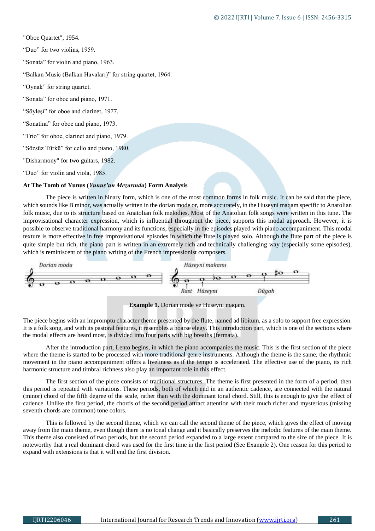"Oboe Quartet", 1954. "Duo" for two violins, 1959. "Sonata" for violin and piano, 1963. "Balkan Music (Balkan Havaları)" for string quartet, 1964. "Oynak" for string quartet. "Sonata" for oboe and piano, 1971. "Söyleşi" for oboe and clarinet, 1977. "Sonatina" for oboe and piano, 1973. "Trio" for oboe, clarinet and piano, 1979. "Sözsüz Türkü" for cello and piano, 1980. "Disharmony" for two guitars, 1982. "Duo" for violin and viola, 1985.

## **At The Tomb of Yunus (***Yunus'un Mezarında***) Form Analysis**

The piece is written in binary form, which is one of the most common forms in folk music. It can be said that the piece, which sounds like B minor, was actually written in the dorian mode or, more accurately, in the Huseyni magam specific to Anatolian folk music, due to its structure based on Anatolian folk melodies. Most of the Anatolian folk songs were written in this tune. The improvisational character expression, which is influential throughout the piece, supports this modal approach. However, it is possible to observe traditional harmony and its functions, especially in the episodes played with piano accompaniment. This modal texture is more effective in free improvisational episodes in which the flute is played solo. Although the flute part of the piece is quite simple but rich, the piano part is written in an extremely rich and technically challenging way (especially some episodes), which is reminiscent of the piano writing of the French impressionist composers.



**Example 1.** Dorian mode ve Huseyni maqam.

The piece begins with an impromptu character theme presented by the flute, named ad libitum, as a solo to support free expression. It is a folk song, and with its pastoral features, it resembles a hoarse elegy. This introduction part, which is one of the sections where the modal effects are heard most, is divided into four parts with big breaths (fermata).

After the introduction part, Lento begins, in which the piano accompanies the music. This is the first section of the piece where the theme is started to be processed with more traditional genre instruments. Although the theme is the same, the rhythmic movement in the piano accompaniment offers a liveliness as if the tempo is accelerated. The effective use of the piano, its rich harmonic structure and timbral richness also play an important role in this effect.

The first section of the piece consists of traditional structures. The theme is first presented in the form of a period, then this period is repeated with variations. These periods, both of which end in an authentic cadence, are connected with the natural (minor) chord of the fifth degree of the scale, rather than with the dominant tonal chord. Still, this is enough to give the effect of cadence. Unlike the first period, the chords of the second period attract attention with their much richer and mysterious (missing seventh chords are common) tone colors.

This is followed by the second theme, which we can call the second theme of the piece, which gives the effect of moving away from the main theme, even though there is no tonal change and it basically preserves the melodic features of the main theme. This theme also consisted of two periods, but the second period expanded to a large extent compared to the size of the piece. It is noteworthy that a real dominant chord was used for the first time in the first period (See Example 2). One reason for this period to expand with extensions is that it will end the first division.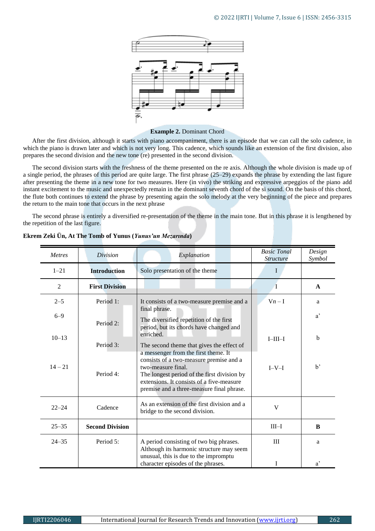

#### **Example 2.** Dominant Chord

After the first division, although it starts with piano accompaniment, there is an episode that we can call the solo cadence, in which the piano is drawn later and which is not very long. This cadence, which sounds like an extension of the first division, also prepares the second division and the new tone (re) presented in the second division.

The second division starts with the freshness of the theme presented on the re axis. Although the whole division is made up of a single period, the phrases of this period are quite large. The first phrase (25–29) expands the phrase by extending the last figure after presenting the theme in a new tone for two measures. Here (in vivo) the striking and expressive arpeggios of the piano add instant excitement to the music and unexpectedly remain in the dominant seventh chord of the si sound. On the basis of this chord, the flute both continues to extend the phrase by presenting again the solo melody at the very beginning of the piece and prepares the return to the main tone that occurs in the next phrase

The second phrase is entirely a diversified re-presentation of the theme in the main tone. But in this phrase it is lengthened by the repetition of the last figure.

| <b>Metres</b>  | Division               | Explanation                                                                                                                                                                                                                                    | <b>Basic Tonal</b><br><b>Structure</b> | Design<br>Symbol |
|----------------|------------------------|------------------------------------------------------------------------------------------------------------------------------------------------------------------------------------------------------------------------------------------------|----------------------------------------|------------------|
| $1 - 21$       | <b>Introduction</b>    | Solo presentation of the theme                                                                                                                                                                                                                 | I                                      |                  |
| $\overline{c}$ | <b>First Division</b>  |                                                                                                                                                                                                                                                | $\bf{l}$                               | $\mathbf{A}$     |
| $2 - 5$        | Period 1:              | It consists of a two-measure premise and a<br>final phrase.                                                                                                                                                                                    | $V_n-I$                                | a                |
| $6 - 9$        | Period 2:              | The diversified repetition of the first<br>period, but its chords have changed and<br>enriched.                                                                                                                                                |                                        | $a^{\prime}$     |
| $10 - 13$      | Period 3:              | The second theme that gives the effect of                                                                                                                                                                                                      | $I-III-I$                              | $\mathbf b$      |
| $14 - 21$      | Period 4:              | a messenger from the first theme. It<br>consists of a two-measure premise and a<br>two-measure final.<br>The longest period of the first division by<br>extensions. It consists of a five-measure<br>premise and a three-measure final phrase. | $I-V-I$                                | $b^{\prime}$     |
| $22 - 24$      | Cadence                | As an extension of the first division and a<br>bridge to the second division.                                                                                                                                                                  | V                                      |                  |
| $25 - 35$      | <b>Second Division</b> |                                                                                                                                                                                                                                                | $III-I$                                | B                |
| $24 - 35$      | Period 5:              | A period consisting of two big phrases.<br>Although its harmonic structure may seem<br>unusual, this is due to the impromptu                                                                                                                   | III                                    | a                |
|                |                        | character episodes of the phrases.                                                                                                                                                                                                             |                                        | $a^{\prime}$     |

#### **Ekrem Zeki Ün, At The Tomb of Yunus (***Yunus'un Mezarında***)**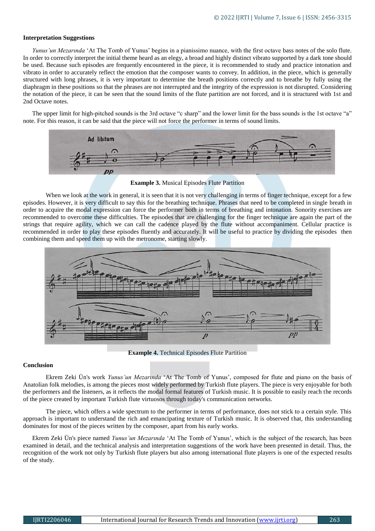## **Interpretation Suggestions**

*Yunus'un Mezarında* 'At The Tomb of Yunus' begins in a pianissimo nuance, with the first octave bass notes of the solo flute. In order to correctly interpret the initial theme heard as an elegy, a broad and highly distinct vibrato supported by a dark tone should be used. Because such episodes are frequently encountered in the piece, it is recommended to study and practice intonation and vibrato in order to accurately reflect the emotion that the composer wants to convey. In addition, in the piece, which is generally structured with long phrases, it is very important to determine the breath positions correctly and to breathe by fully using the diaphragm in these positions so that the phrases are not interrupted and the integrity of the expression is not disrupted. Considering the notation of the piece, it can be seen that the sound limits of the flute partition are not forced, and it is structured with 1st and 2nd Octave notes.

The upper limit for high-pitched sounds is the 3rd octave "c sharp" and the lower limit for the bass sounds is the 1st octave "a" note. For this reason, it can be said that the piece will not force the performer in terms of sound limits.



**Example 3.** Musical Episodes Flute Partition

When we look at the work in general, it is seen that it is not very challenging in terms of finger technique, except for a few episodes. However, it is very difficult to say this for the breathing technique. Phrases that need to be completed in single breath in order to acquire the modal expression can force the performer both in terms of breathing and intonation. Sonority exercises are recommended to overcome these difficulties. The episodes that are challenging for the finger technique are again the part of the strings that require agility, which we can call the cadence played by the flute without accompaniment. Cellular practice is recommended in order to play these episodes fluently and accurately. It will be useful to practice by dividing the episodes then combining them and speed them up with the metronome, starting slowly.



**Example 4.** Technical Episodes Flute Partition

# **Conclusion**

Ekrem Zeki Ün's work *Yunus'un Mezarında* 'At The Tomb of Yunus', composed for flute and piano on the basis of Anatolian folk melodies, is among the pieces most widely performed by Turkish flute players. The piece is very enjoyable for both the performers and the listeners, as it reflects the modal formal features of Turkish music. It is possible to easily reach the records of the piece created by important Turkish flute virtuosos through today's communication networks.

The piece, which offers a wide spectrum to the performer in terms of performance, does not stick to a certain style. This approach is important to understand the rich and emancipating texture of Turkish music. It is observed that, this understanding dominates for most of the pieces written by the composer, apart from his early works.

Ekrem Zeki Ün's piece named *Yunus'un Mezarında* 'At The Tomb of Yunus', which is the subject of the research, has been examined in detail, and the technical analysis and interpretation suggestions of the work have been presented in detail. Thus, the recognition of the work not only by Turkish flute players but also among international flute players is one of the expected results of the study.